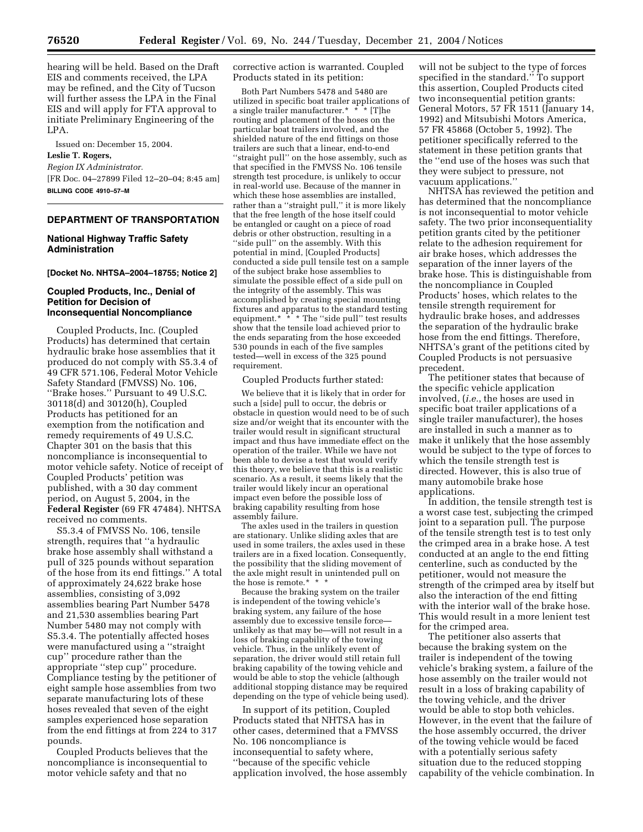hearing will be held. Based on the Draft EIS and comments received, the LPA may be refined, and the City of Tucson will further assess the LPA in the Final EIS and will apply for FTA approval to initiate Preliminary Engineering of the LPA.

Issued on: December 15, 2004. **Leslie T. Rogers,**  *Region IX Administrator.*

[FR Doc. 04–27899 Filed 12–20–04; 8:45 am] **BILLING CODE 4910–57–M**

## **DEPARTMENT OF TRANSPORTATION**

### **National Highway Traffic Safety Administration**

**[Docket No. NHTSA–2004–18755; Notice 2]** 

### **Coupled Products, Inc., Denial of Petition for Decision of Inconsequential Noncompliance**

Coupled Products, Inc. (Coupled Products) has determined that certain hydraulic brake hose assemblies that it produced do not comply with S5.3.4 of 49 CFR 571.106, Federal Motor Vehicle Safety Standard (FMVSS) No. 106, ''Brake hoses.'' Pursuant to 49 U.S.C. 30118(d) and 30120(h), Coupled Products has petitioned for an exemption from the notification and remedy requirements of 49 U.S.C. Chapter 301 on the basis that this noncompliance is inconsequential to motor vehicle safety. Notice of receipt of Coupled Products' petition was published, with a 30 day comment period, on August 5, 2004, in the **Federal Register** (69 FR 47484). NHTSA received no comments.

S5.3.4 of FMVSS No. 106, tensile strength, requires that ''a hydraulic brake hose assembly shall withstand a pull of 325 pounds without separation of the hose from its end fittings.'' A total of approximately 24,622 brake hose assemblies, consisting of 3,092 assemblies bearing Part Number 5478 and 21,530 assemblies bearing Part Number 5480 may not comply with S5.3.4. The potentially affected hoses were manufactured using a ''straight cup'' procedure rather than the appropriate ''step cup'' procedure. Compliance testing by the petitioner of eight sample hose assemblies from two separate manufacturing lots of these hoses revealed that seven of the eight samples experienced hose separation from the end fittings at from 224 to 317 pounds.

Coupled Products believes that the noncompliance is inconsequential to motor vehicle safety and that no

corrective action is warranted. Coupled Products stated in its petition:

Both Part Numbers 5478 and 5480 are utilized in specific boat trailer applications of a single trailer manufacturer.\* \* \* [T]he routing and placement of the hoses on the particular boat trailers involved, and the shielded nature of the end fittings on those trailers are such that a linear, end-to-end ''straight pull'' on the hose assembly, such as that specified in the FMVSS No. 106 tensile strength test procedure, is unlikely to occur in real-world use. Because of the manner in which these hose assemblies are installed, rather than a ''straight pull,'' it is more likely that the free length of the hose itself could be entangled or caught on a piece of road debris or other obstruction, resulting in a "side pull" on the assembly. With this potential in mind, [Coupled Products] conducted a side pull tensile test on a sample of the subject brake hose assemblies to simulate the possible effect of a side pull on the integrity of the assembly. This was accomplished by creating special mounting fixtures and apparatus to the standard testing equipment.\* \* \* The "side pull" test results show that the tensile load achieved prior to the ends separating from the hose exceeded 530 pounds in each of the five samples tested—well in excess of the 325 pound requirement.

Coupled Products further stated:

We believe that it is likely that in order for such a [side] pull to occur, the debris or obstacle in question would need to be of such size and/or weight that its encounter with the trailer would result in significant structural impact and thus have immediate effect on the operation of the trailer. While we have not been able to devise a test that would verify this theory, we believe that this is a realistic scenario. As a result, it seems likely that the trailer would likely incur an operational impact even before the possible loss of braking capability resulting from hose assembly failure.

The axles used in the trailers in question are stationary. Unlike sliding axles that are used in some trailers, the axles used in these trailers are in a fixed location. Consequently, the possibility that the sliding movement of the axle might result in unintended pull on the hose is remote.\* \* \*

Because the braking system on the trailer is independent of the towing vehicle's braking system, any failure of the hose assembly due to excessive tensile force unlikely as that may be—will not result in a loss of braking capability of the towing vehicle. Thus, in the unlikely event of separation, the driver would still retain full braking capability of the towing vehicle and would be able to stop the vehicle (although additional stopping distance may be required depending on the type of vehicle being used).

In support of its petition, Coupled Products stated that NHTSA has in other cases, determined that a FMVSS No. 106 noncompliance is inconsequential to safety where, ''because of the specific vehicle application involved, the hose assembly

will not be subject to the type of forces specified in the standard.'' To support this assertion, Coupled Products cited two inconsequential petition grants: General Motors, 57 FR 1511 (January 14, 1992) and Mitsubishi Motors America, 57 FR 45868 (October 5, 1992). The petitioner specifically referred to the statement in these petition grants that the ''end use of the hoses was such that they were subject to pressure, not vacuum applications.''

NHTSA has reviewed the petition and has determined that the noncompliance is not inconsequential to motor vehicle safety. The two prior inconsequentiality petition grants cited by the petitioner relate to the adhesion requirement for air brake hoses, which addresses the separation of the inner layers of the brake hose. This is distinguishable from the noncompliance in Coupled Products' hoses, which relates to the tensile strength requirement for hydraulic brake hoses, and addresses the separation of the hydraulic brake hose from the end fittings. Therefore, NHTSA's grant of the petitions cited by Coupled Products is not persuasive precedent.

The petitioner states that because of the specific vehicle application involved, (*i.e.*, the hoses are used in specific boat trailer applications of a single trailer manufacturer), the hoses are installed in such a manner as to make it unlikely that the hose assembly would be subject to the type of forces to which the tensile strength test is directed. However, this is also true of many automobile brake hose applications.

In addition, the tensile strength test is a worst case test, subjecting the crimped joint to a separation pull. The purpose of the tensile strength test is to test only the crimped area in a brake hose. A test conducted at an angle to the end fitting centerline, such as conducted by the petitioner, would not measure the strength of the crimped area by itself but also the interaction of the end fitting with the interior wall of the brake hose. This would result in a more lenient test for the crimped area.

The petitioner also asserts that because the braking system on the trailer is independent of the towing vehicle's braking system, a failure of the hose assembly on the trailer would not result in a loss of braking capability of the towing vehicle, and the driver would be able to stop both vehicles. However, in the event that the failure of the hose assembly occurred, the driver of the towing vehicle would be faced with a potentially serious safety situation due to the reduced stopping capability of the vehicle combination. In